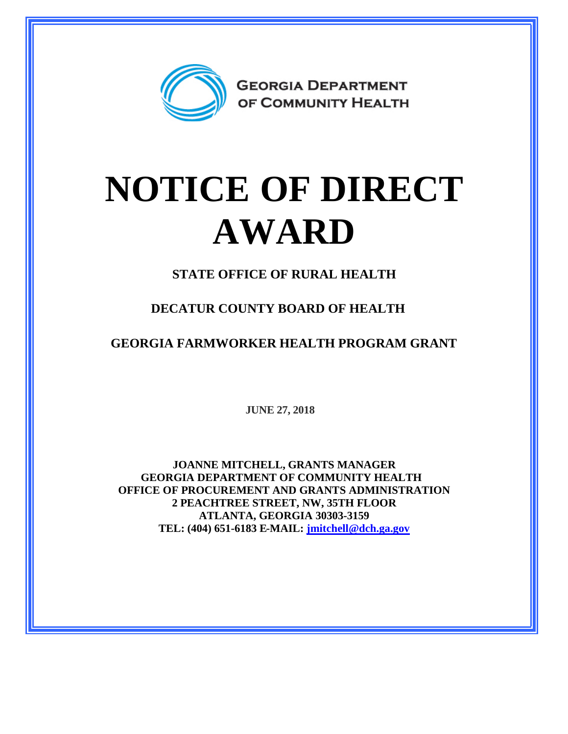

## **NOTICE OF DIRECT AWARD**

**STATE OFFICE OF RURAL HEALTH**

**DECATUR COUNTY BOARD OF HEALTH**

**GEORGIA FARMWORKER HEALTH PROGRAM GRANT**

**JUNE 27, 2018**

**JOANNE MITCHELL, GRANTS MANAGER GEORGIA DEPARTMENT OF COMMUNITY HEALTH OFFICE OF PROCUREMENT AND GRANTS ADMINISTRATION 2 PEACHTREE STREET, NW, 35TH FLOOR ATLANTA, GEORGIA 30303-3159 TEL: (404) 651-6183 E-MAIL: [jmitchell@dch.ga.gov](mailto:jmitchell@dch.ga.gov)**